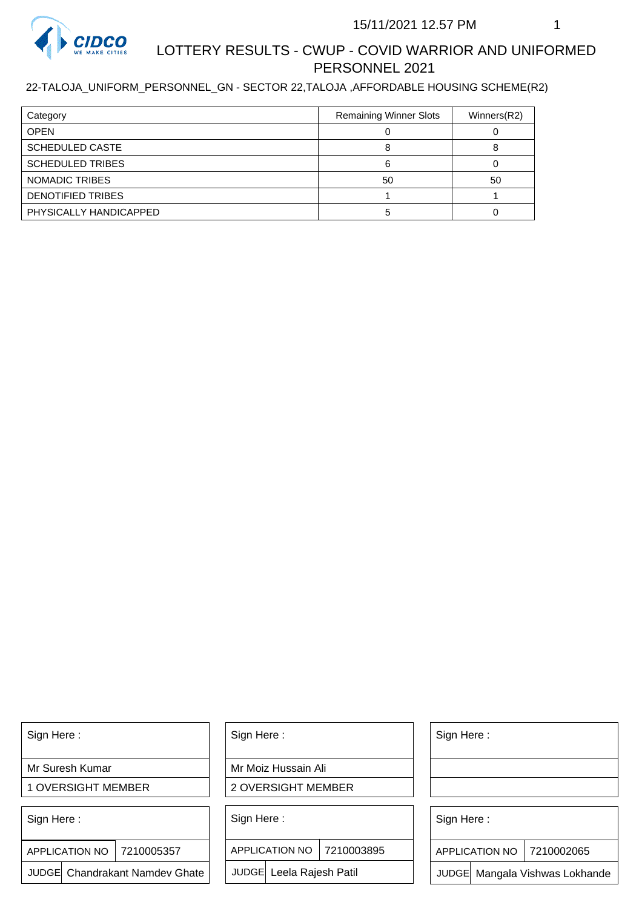

# LOTTERY RESULTS - CWUP - COVID WARRIOR AND UNIFORMED PERSONNEL 2021

#### 22-TALOJA\_UNIFORM\_PERSONNEL\_GN - SECTOR 22,TALOJA ,AFFORDABLE HOUSING SCHEME(R2)

| Category                | <b>Remaining Winner Slots</b> | Winners(R2) |
|-------------------------|-------------------------------|-------------|
| <b>OPEN</b>             |                               |             |
| <b>SCHEDULED CASTE</b>  |                               |             |
| <b>SCHEDULED TRIBES</b> |                               |             |
| NOMADIC TRIBES          | 50                            | 50          |
| DENOTIFIED TRIBES       |                               |             |
| PHYSICALLY HANDICAPPED  |                               |             |

Sign Here :

Mr Suresh Kumar

1 OVERSIGHT MEMBER

Sign Here :

7210005357 APPLICATION NO

JUDGE Chandrakant Namdev Ghate

Sign Here :

Mr Moiz Hussain Ali

2 OVERSIGHT MEMBER

Sign Here :

APPLICATION NO 7210003895

JUDGE Leela Rajesh Patil

Sign Here :

Sign Here :

APPLICATION NO | 7210002065

Chandrakant Namdev Ghate  $|\quad|$  JUDGE Leela Rajesh Patil  $|\quad|$  JUDGE Mangala Vishwas Lokhande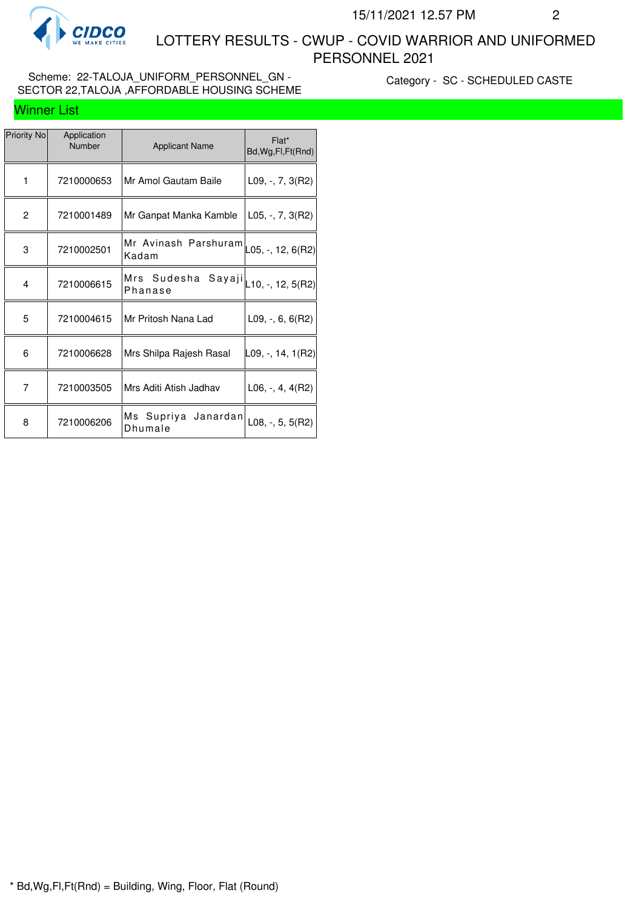

Winner List

 LOTTERY RESULTS - CWUP - COVID WARRIOR AND UNIFORMED PERSONNEL 2021

#### Scheme: 22-TALOJA\_UNIFORM\_PERSONNEL\_GN -SECTOR 22,TALOJA ,AFFORDABLE HOUSING SCHEME

Category - SC - SCHEDULED CASTE

| Priority No    | Application<br>Number | <b>Applicant Name</b>                                   | Flat*<br>Bd, Wg, Fl, Ft (Rnd) |
|----------------|-----------------------|---------------------------------------------------------|-------------------------------|
| 1              | 7210000653            | Mr Amol Gautam Baile                                    | $L09, -7, 3(R2)$              |
| $\overline{c}$ | 7210001489            | Mr Ganpat Manka Kamble                                  | $ $ L05, -, 7, 3(R2)          |
| 3              | 7210002501            | Mr Avinash Parshuram $\vert$ L05, -, 12, 6(R2)<br>Kadam |                               |
| 4              | 7210006615            | Mrs Sudesha Sayaji $\vert$ L10, -, 12, 5(R2)<br>Phanase |                               |
| 5              | 7210004615            | Mr Pritosh Nana Lad                                     | L09, $-$ , 6, 6(R2)           |
| 6              | 7210006628            | Mrs Shilpa Rajesh Rasal                                 | ∣L09, -, 14, 1(R2)            |
| 7              | 7210003505            | Mrs Aditi Atish Jadhav                                  | $L06, -, 4, 4(R2)$            |
| 8              | 7210006206            | Ms Supriya<br>Janardan <br>Dhumale                      | $L08, -, 5, 5(R2)$            |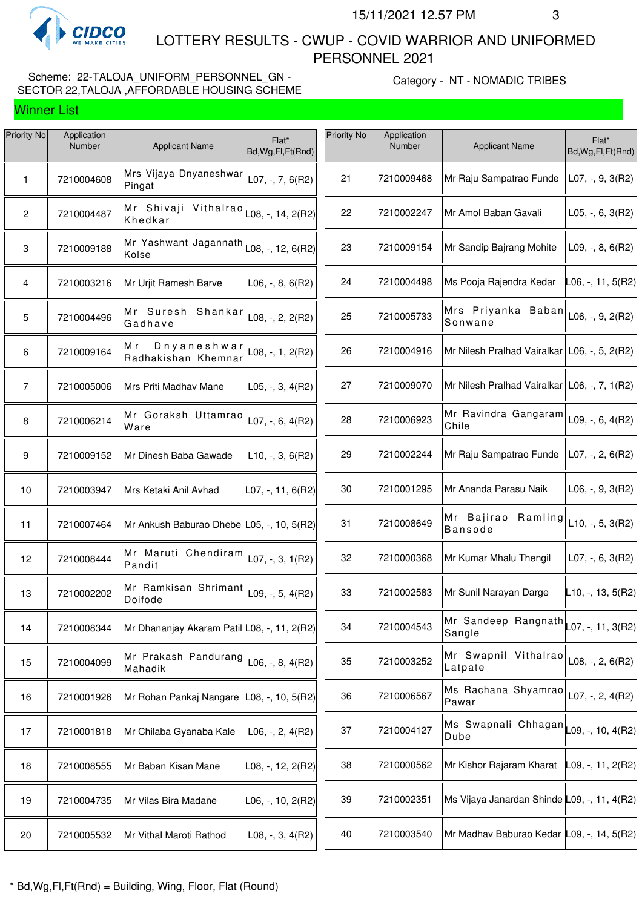

Winner List

 LOTTERY RESULTS - CWUP - COVID WARRIOR AND UNIFORMED PERSONNEL 2021

#### Scheme: 22-TALOJA\_UNIFORM\_PERSONNEL\_GN -SECTOR 22,TALOJA ,AFFORDABLE HOUSING SCHEME

Category - NT - NOMADIC TRIBES

| Priority No    | Application<br>Number |                                                                          | Flat*                     | Priority No | Application<br>Number |                                                         | Flat*                    |
|----------------|-----------------------|--------------------------------------------------------------------------|---------------------------|-------------|-----------------------|---------------------------------------------------------|--------------------------|
|                |                       | <b>Applicant Name</b>                                                    | Bd, Wg, Fl, Ft (Rnd)      |             |                       | <b>Applicant Name</b>                                   | Bd, Wg, Fl, Ft (Rnd)     |
| 1              | 7210004608            | Mrs Vijaya Dnyaneshwar<br>Pingat                                         | $L07, -7, 6(R2)$          | 21          | 7210009468            | Mr Raju Sampatrao Funde                                 | L07, $-$ , $9$ , $3(R2)$ |
| $\overline{2}$ | 7210004487            | Mr Shivaji Vithalrao $\vert_{\text{L08},\text{-, 14, 2(R2)}}$<br>Khedkar |                           | 22          | 7210002247            | Mr Amol Baban Gavali                                    | $L05, -, 6, 3(R2)$       |
| 3              | 7210009188            | Mr Yashwant Jagannath $\vert$ L08, -, 12, 6(R2)<br>Kolse                 |                           | 23          | 7210009154            | Mr Sandip Bajrang Mohite                                | $L09, -, 8, 6(R2)$       |
| 4              | 7210003216            | Mr Urjit Ramesh Barve                                                    | $L06, -, 8, 6(R2)$        | 24          | 7210004498            | Ms Pooja Rajendra Kedar                                 | L06, -, 11, 5(R2)        |
| 5              | 7210004496            | Mr Suresh Shankar<br>Gadhave                                             | $L08, -2, 2(R2)$          | 25          | 7210005733            | Mrs Priyanka Baban<br>Sonwane                           | L06, -, 9, $2(R2)$       |
| 6              | 7210009164            | Dnyaneshwal<br>Мr<br>Radhakishan Khemnar                                 | L08, -, 1, 2(R2)          | 26          | 7210004916            | Mr Nilesh Pralhad Vairalkar   L06, -, 5, 2(R2)          |                          |
| 7              | 7210005006            | Mrs Priti Madhav Mane                                                    | $L05, -3, 4(R2)$          | 27          | 7210009070            | Mr Nilesh Pralhad Vairalkar   L06, -, 7, 1(R2)          |                          |
| 8              | 7210006214            | Mr Goraksh Uttamrao<br>Ware                                              | $L07, -, 6, 4(R2)$        | 28          | 7210006923            | Mr Ravindra Gangaram<br>Chile                           | L09, -, 6, $4(R2)$       |
| 9              | 7210009152            | Mr Dinesh Baba Gawade                                                    | $L10, -3, 6(R2)$          | 29          | 7210002244            | Mr Raju Sampatrao Funde                                 | $LO7, -, 2, 6(R2)$       |
| 10             | 7210003947            | Mrs Ketaki Anil Avhad                                                    | L07, -, 11, 6(R2)         | 30          | 7210001295            | Mr Ananda Parasu Naik                                   | $L06, -, 9, 3(R2)$       |
| 11             | 7210007464            | Mr Ankush Baburao Dhebe L05, -, 10, 5(R2)                                |                           | 31          | 7210008649            | Mr Bajirao<br>Ramling<br><b>Bansode</b>                 | $L10, -, 5, 3(R2)$       |
| 12             | 7210008444            | Mr Maruti Chendiram<br>Pandit                                            | $L07, -3, 1(R2)$          | 32          | 7210000368            | Mr Kumar Mhalu Thengil                                  | $L07, -, 6, 3(R2)$       |
| 13             | 7210002202            | Mr Ramkisan Shrimant<br>Doifode                                          | L09, -, 5, 4(R2)          | 33          | 7210002583            | Mr Sunil Narayan Darge                                  | $L$ 10, -, 13, 5(R2)     |
| 14             | 7210008344            | Mr Dhananjay Akaram Patil L08, -, 11, 2(R2)                              |                           | 34          | 7210004543            | Mr Sandeep Rangnath $\vert$ L07, -, 11, 3(R2)<br>Sangle |                          |
| 15             | 7210004099            | Mr Prakash Pandurang<br>Mahadik                                          | $L06, -, 8, 4(R2)$        | 35          | 7210003252            | Mr Swapnil Vithalrao<br>Latpate                         | L08, -, 2, $6(R2)$       |
| 16             | 7210001926            | Mr Rohan Pankaj Nangare                                                  | $\vert$ L08, -, 10, 5(R2) | 36          | 7210006567            | Ms Rachana Shyamrao<br>Pawar                            | L07, $-$ , 2, 4(R2)      |
| 17             | 7210001818            | Mr Chilaba Gyanaba Kale                                                  | $L06, -2, 4(R2)$          | 37          | 7210004127            | Ms Swapnali Chhagan $\vert$ L09, -, 10, 4(R2)<br>Dube   |                          |
| 18             | 7210008555            | Mr Baban Kisan Mane                                                      | L08, -, 12, 2(R2)         | 38          | 7210000562            | Mr Kishor Rajaram Kharat                                | $L09, -11, 2(R2)$        |
| 19             | 7210004735            | Mr Vilas Bira Madane                                                     | L06, -, 10, 2(R2)         | 39          | 7210002351            | Ms Vijaya Janardan Shinde L09, -, 11, 4(R2)             |                          |
| 20             | 7210005532            | Mr Vithal Maroti Rathod                                                  | L08, -, 3, 4(R2)          | 40          | 7210003540            | Mr Madhav Baburao Kedar L09, -, 14, 5(R2)               |                          |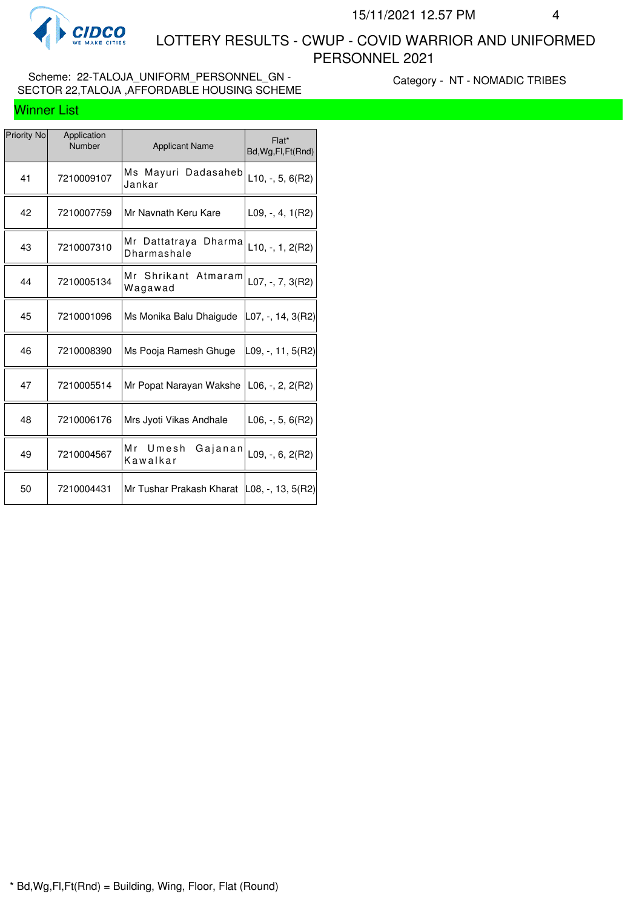

Winner List

 LOTTERY RESULTS - CWUP - COVID WARRIOR AND UNIFORMED PERSONNEL 2021

### Scheme: 22-TALOJA\_UNIFORM\_PERSONNEL\_GN -SECTOR 22,TALOJA ,AFFORDABLE HOUSING SCHEME

Category - NT - NOMADIC TRIBES

| Priority No | Application<br>Number | <b>Applicant Name</b>                  | Flat*<br>Bd, Wg, Fl, Ft (Rnd) |
|-------------|-----------------------|----------------------------------------|-------------------------------|
| 41          | 7210009107            | Ms Mayuri Dadasaheb<br>Jankar          | $L10, -5, 6(R2)$              |
| 42          | 7210007759            | Mr Navnath Keru Kare                   | $L09, -, 4, 1(R2)$            |
| 43          | 7210007310            | Mr Dattatraya<br>Dharma<br>Dharmashale | $L10, -1, 2(R2)$              |
| 44          | 7210005134            | Mr Shrikant Atmaram<br>Wagawad         | L07, $-$ , 7, 3(R2)           |
| 45          | 7210001096            | Ms Monika Balu Dhaigude                | $ $ L07, -, 14, 3(R2)         |
| 46          | 7210008390            | Ms Pooja Ramesh Ghuge                  | L09, -, 11, 5(R2)             |
| 47          | 7210005514            | Mr Popat Narayan Wakshe                | L06, -, 2, 2(R2)              |
| 48          | 7210006176            | Mrs Jyoti Vikas Andhale                | $L06, -, 5, 6(R2)$            |
| 49          | 7210004567            | Mr Umesh<br>Gajanan<br>Kawalkar        | $L09, -, 6, 2(R2)$            |
| 50          | 7210004431            | Mr Tushar Prakash Kharat               | $ L08, -, 13, 5(R2) $         |